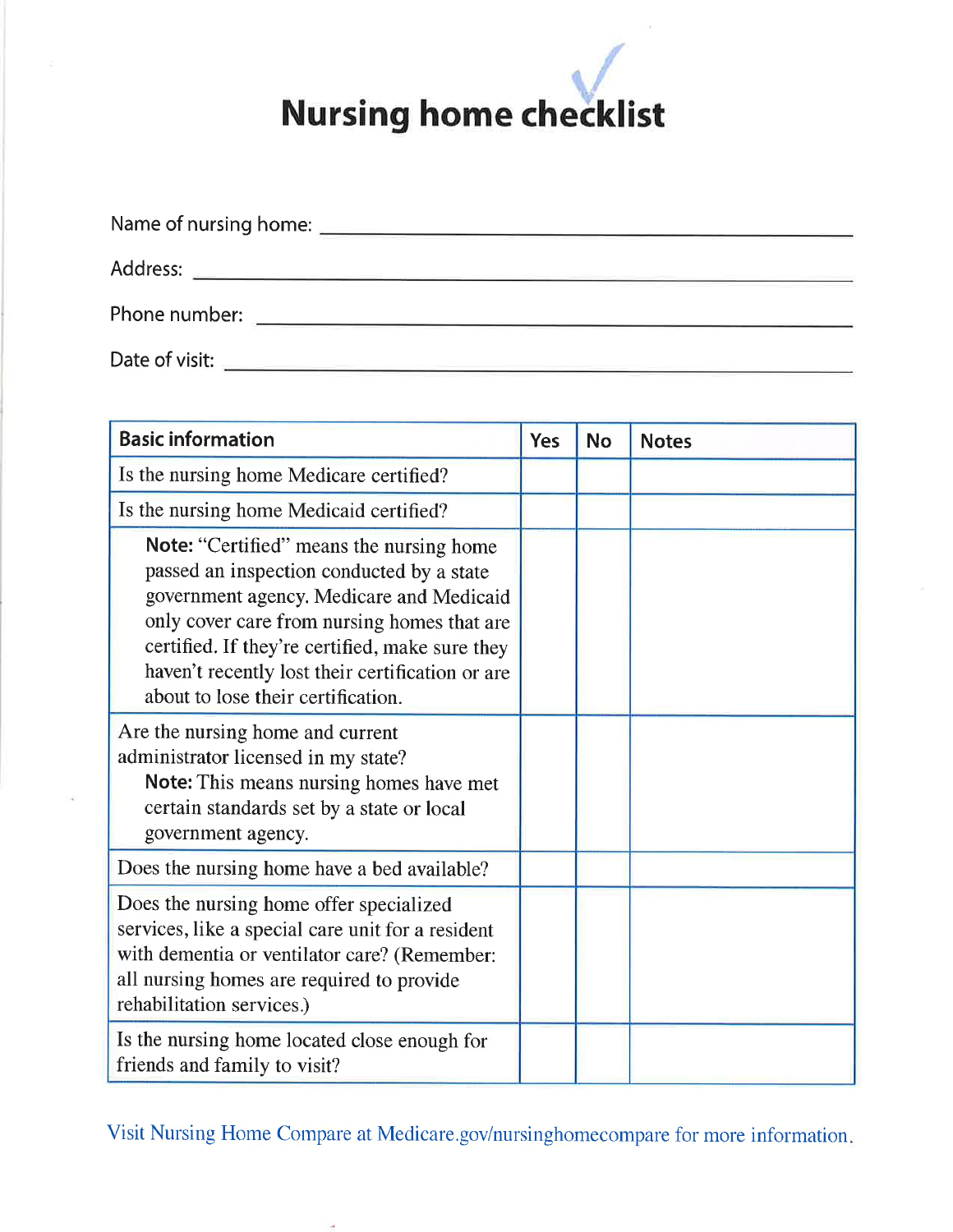| Name of nursing home: |
|-----------------------|
| Address:              |
| Phone number:         |
| Date of visit:        |

| <b>Basic information</b>                                                                                                                                                                                                                                                                                                             | <b>Yes</b> | <b>No</b> | <b>Notes</b> |
|--------------------------------------------------------------------------------------------------------------------------------------------------------------------------------------------------------------------------------------------------------------------------------------------------------------------------------------|------------|-----------|--------------|
| Is the nursing home Medicare certified?                                                                                                                                                                                                                                                                                              |            |           |              |
| Is the nursing home Medicaid certified?                                                                                                                                                                                                                                                                                              |            |           |              |
| <b>Note:</b> "Certified" means the nursing home<br>passed an inspection conducted by a state<br>government agency. Medicare and Medicaid<br>only cover care from nursing homes that are<br>certified. If they're certified, make sure they<br>haven't recently lost their certification or are<br>about to lose their certification. |            |           |              |
| Are the nursing home and current<br>administrator licensed in my state?<br>Note: This means nursing homes have met<br>certain standards set by a state or local<br>government agency.                                                                                                                                                |            |           |              |
| Does the nursing home have a bed available?                                                                                                                                                                                                                                                                                          |            |           |              |
| Does the nursing home offer specialized<br>services, like a special care unit for a resident<br>with dementia or ventilator care? (Remember:<br>all nursing homes are required to provide<br>rehabilitation services.)                                                                                                               |            |           |              |
| Is the nursing home located close enough for<br>friends and family to visit?                                                                                                                                                                                                                                                         |            |           |              |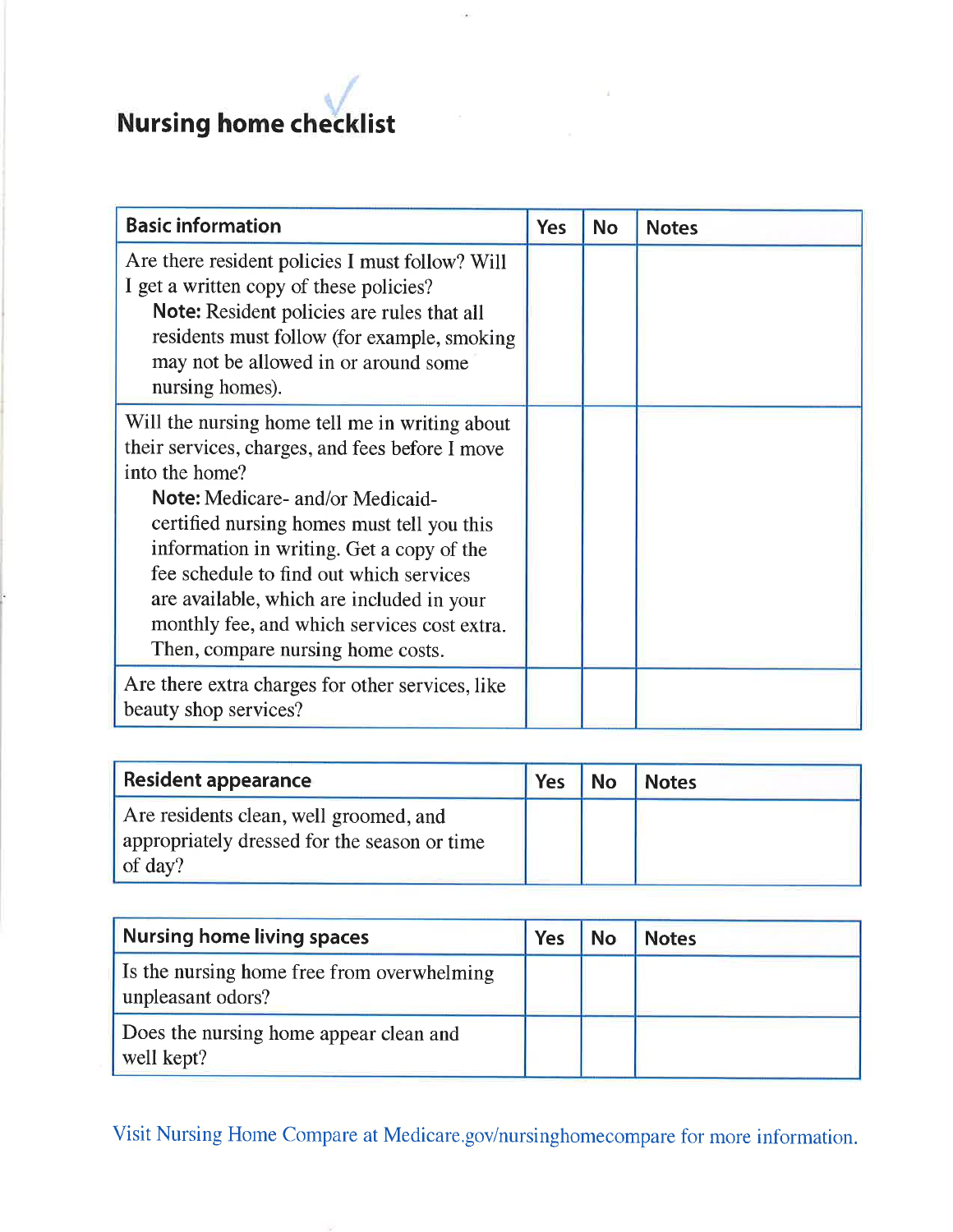| <b>Basic information</b>                                                                                                                                                                                                                                                                                                                                                                                                              | <b>Yes</b> | <b>No</b> | <b>Notes</b> |
|---------------------------------------------------------------------------------------------------------------------------------------------------------------------------------------------------------------------------------------------------------------------------------------------------------------------------------------------------------------------------------------------------------------------------------------|------------|-----------|--------------|
| Are there resident policies I must follow? Will<br>I get a written copy of these policies?<br><b>Note:</b> Resident policies are rules that all<br>residents must follow (for example, smoking<br>may not be allowed in or around some<br>nursing homes).                                                                                                                                                                             |            |           |              |
| Will the nursing home tell me in writing about<br>their services, charges, and fees before I move<br>into the home?<br><b>Note:</b> Medicare- and/or Medicaid-<br>certified nursing homes must tell you this<br>information in writing. Get a copy of the<br>fee schedule to find out which services<br>are available, which are included in your<br>monthly fee, and which services cost extra.<br>Then, compare nursing home costs. |            |           |              |
| Are there extra charges for other services, like<br>beauty shop services?                                                                                                                                                                                                                                                                                                                                                             |            |           |              |

| Resident appearance                                                                               | Yes | <b>No</b> | <b>Notes</b> |
|---------------------------------------------------------------------------------------------------|-----|-----------|--------------|
| Are residents clean, well groomed, and<br>appropriately dressed for the season or time<br>of day? |     |           |              |

| Nursing home living spaces                                      | <b>Yes</b> | <b>No</b> | <b>Notes</b> |
|-----------------------------------------------------------------|------------|-----------|--------------|
| Is the nursing home free from overwhelming<br>unpleasant odors? |            |           |              |
| Does the nursing home appear clean and<br>well kept?            |            |           |              |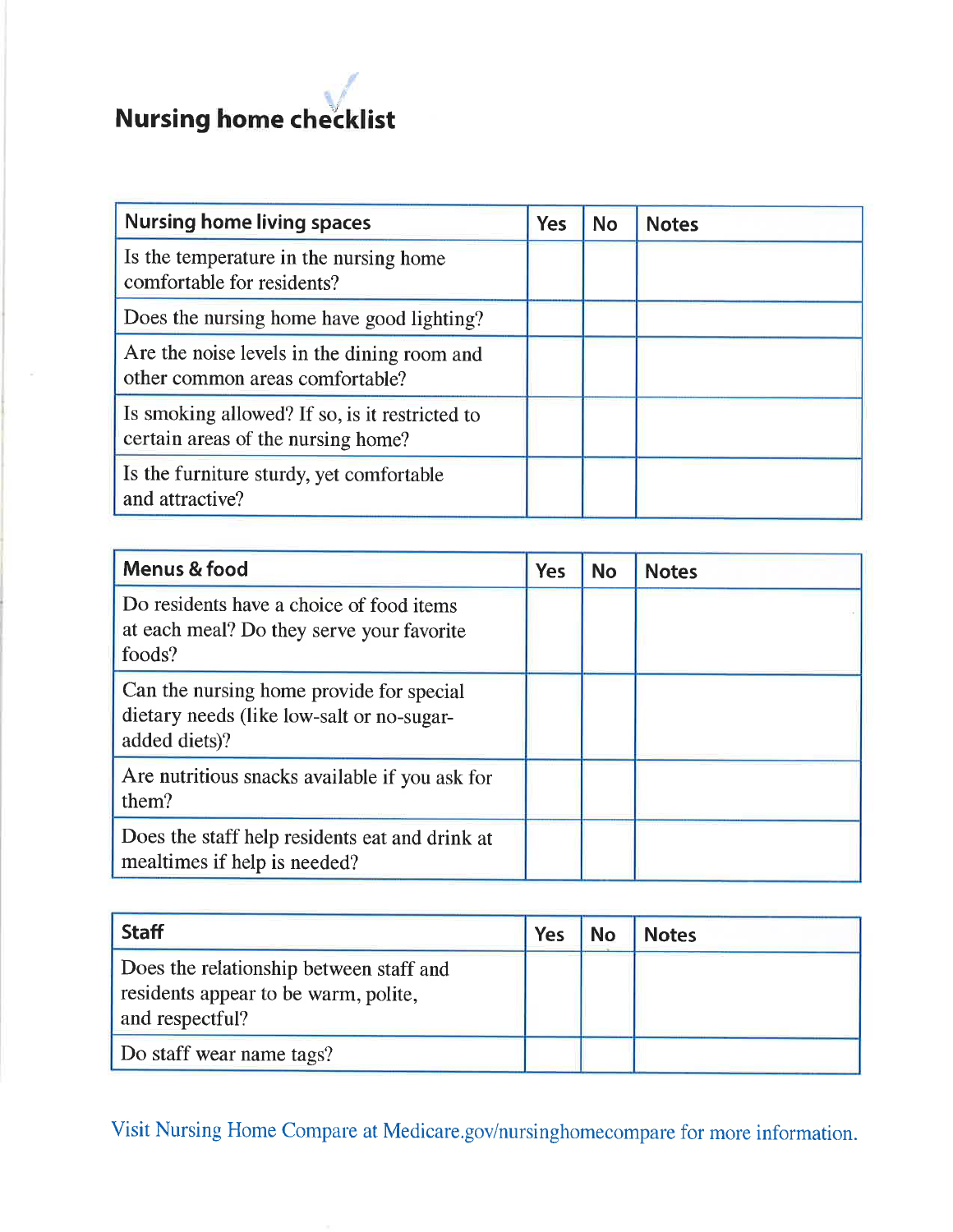### $\mathcal{A}$ Nursing home checklist

| <b>Nursing home living spaces</b>                                                    | Yes | <b>No</b> | <b>Notes</b> |
|--------------------------------------------------------------------------------------|-----|-----------|--------------|
| Is the temperature in the nursing home<br>comfortable for residents?                 |     |           |              |
| Does the nursing home have good lighting?                                            |     |           |              |
| Are the noise levels in the dining room and<br>other common areas comfortable?       |     |           |              |
| Is smoking allowed? If so, is it restricted to<br>certain areas of the nursing home? |     |           |              |
| Is the furniture sturdy, yet comfortable<br>and attractive?                          |     |           |              |

| Menus & food                                                                                           | <b>Yes</b> | <b>No</b> | <b>Notes</b> |
|--------------------------------------------------------------------------------------------------------|------------|-----------|--------------|
| Do residents have a choice of food items<br>at each meal? Do they serve your favorite<br>foods?        |            |           |              |
| Can the nursing home provide for special<br>dietary needs (like low-salt or no-sugar-<br>added diets)? |            |           |              |
| Are nutritious snacks available if you ask for<br>them?                                                |            |           |              |
| Does the staff help residents eat and drink at<br>mealtimes if help is needed?                         |            |           |              |

| <b>Staff</b>                                                                                       | Yes | <b>No</b> | <b>Notes</b> |
|----------------------------------------------------------------------------------------------------|-----|-----------|--------------|
| Does the relationship between staff and<br>residents appear to be warm, polite,<br>and respectful? |     |           |              |
| Do staff wear name tags?                                                                           |     |           |              |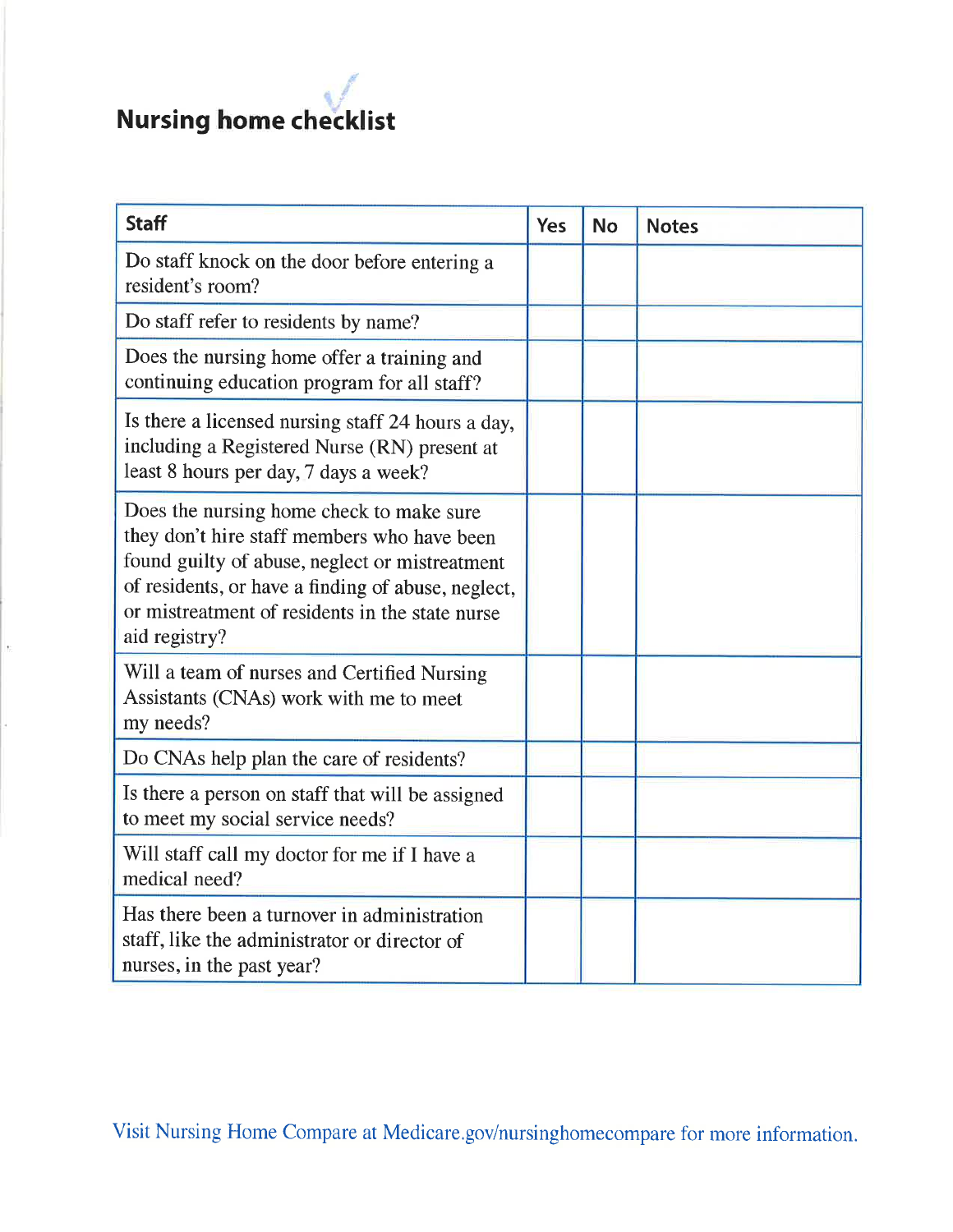| <b>Staff</b>                                                                                                                                                                                                                                                        | Yes | <b>No</b> | <b>Notes</b> |
|---------------------------------------------------------------------------------------------------------------------------------------------------------------------------------------------------------------------------------------------------------------------|-----|-----------|--------------|
| Do staff knock on the door before entering a<br>resident's room?                                                                                                                                                                                                    |     |           |              |
| Do staff refer to residents by name?                                                                                                                                                                                                                                |     |           |              |
| Does the nursing home offer a training and<br>continuing education program for all staff?                                                                                                                                                                           |     |           |              |
| Is there a licensed nursing staff 24 hours a day,<br>including a Registered Nurse (RN) present at<br>least 8 hours per day, 7 days a week?                                                                                                                          |     |           |              |
| Does the nursing home check to make sure<br>they don't hire staff members who have been<br>found guilty of abuse, neglect or mistreatment<br>of residents, or have a finding of abuse, neglect,<br>or mistreatment of residents in the state nurse<br>aid registry? |     |           |              |
| Will a team of nurses and Certified Nursing<br>Assistants (CNAs) work with me to meet<br>my needs?                                                                                                                                                                  |     |           |              |
| Do CNAs help plan the care of residents?                                                                                                                                                                                                                            |     |           |              |
| Is there a person on staff that will be assigned<br>to meet my social service needs?                                                                                                                                                                                |     |           |              |
| Will staff call my doctor for me if I have a<br>medical need?                                                                                                                                                                                                       |     |           |              |
| Has there been a turnover in administration<br>staff, like the administrator or director of<br>nurses, in the past year?                                                                                                                                            |     |           |              |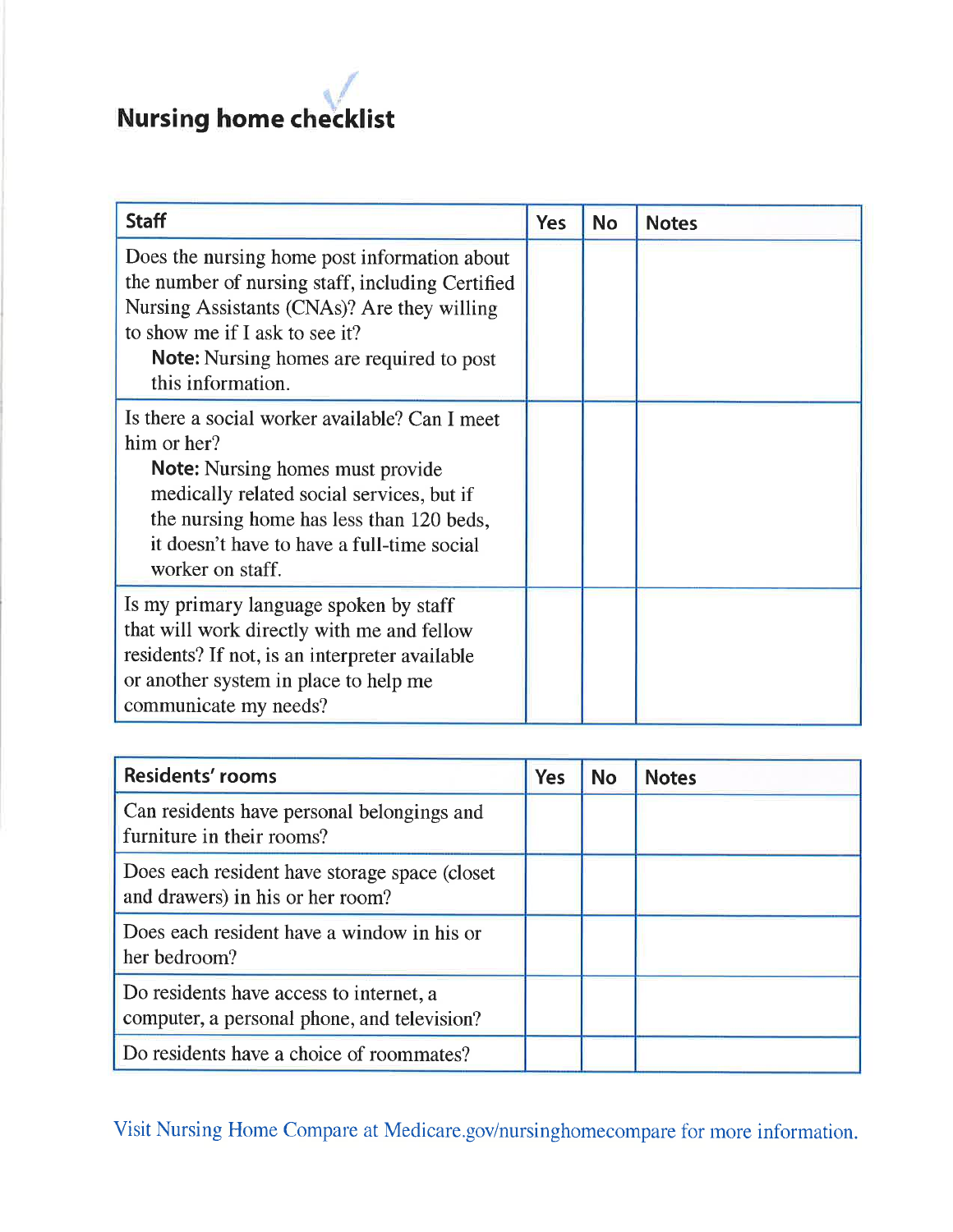| <b>Staff</b>                                                                                                                                                                                                                                                        | <b>Yes</b> | <b>No</b> | <b>Notes</b> |
|---------------------------------------------------------------------------------------------------------------------------------------------------------------------------------------------------------------------------------------------------------------------|------------|-----------|--------------|
| Does the nursing home post information about<br>the number of nursing staff, including Certified<br>Nursing Assistants (CNAs)? Are they willing<br>to show me if I ask to see it?<br><b>Note:</b> Nursing homes are required to post<br>this information.           |            |           |              |
| Is there a social worker available? Can I meet<br>him or her?<br><b>Note:</b> Nursing homes must provide<br>medically related social services, but if<br>the nursing home has less than 120 beds,<br>it doesn't have to have a full-time social<br>worker on staff. |            |           |              |
| Is my primary language spoken by staff<br>that will work directly with me and fellow<br>residents? If not, is an interpreter available<br>or another system in place to help me<br>communicate my needs?                                                            |            |           |              |

| <b>Residents' rooms</b>                                                                | Yes | <b>No</b> | <b>Notes</b> |
|----------------------------------------------------------------------------------------|-----|-----------|--------------|
| Can residents have personal belongings and<br>furniture in their rooms?                |     |           |              |
| Does each resident have storage space (closet)<br>and drawers) in his or her room?     |     |           |              |
| Does each resident have a window in his or<br>her bedroom?                             |     |           |              |
| Do residents have access to internet, a<br>computer, a personal phone, and television? |     |           |              |
| Do residents have a choice of roommates?                                               |     |           |              |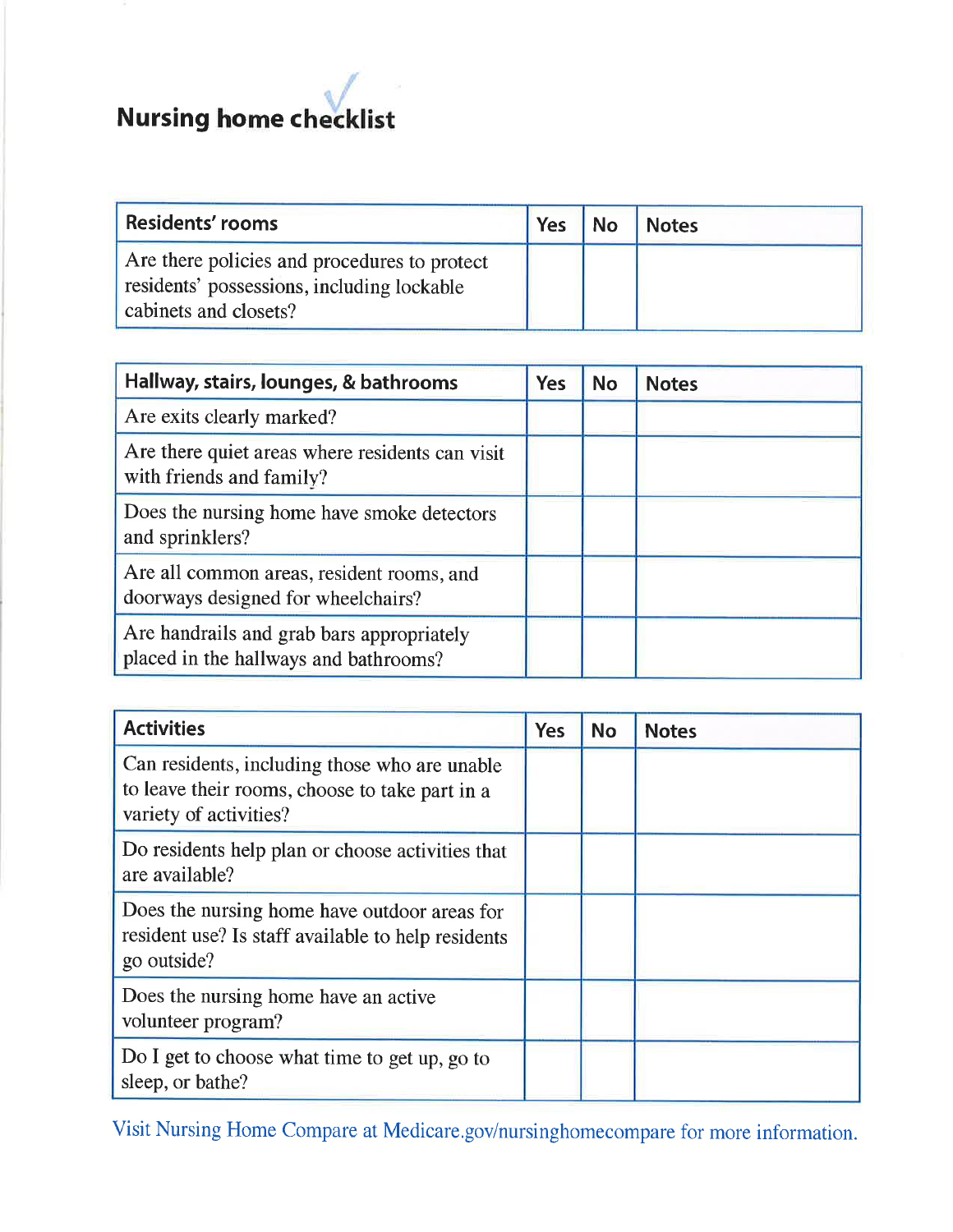

| <b>Residents' rooms</b>                                                                                             | <b>Yes</b> | <b>No</b> | <b>Notes</b> |
|---------------------------------------------------------------------------------------------------------------------|------------|-----------|--------------|
| Are there policies and procedures to protect<br>residents' possessions, including lockable<br>cabinets and closets? |            |           |              |

| Hallway, stairs, lounges, & bathrooms                                              | <b>Yes</b> | <b>No</b> | <b>Notes</b> |
|------------------------------------------------------------------------------------|------------|-----------|--------------|
| Are exits clearly marked?                                                          |            |           |              |
| Are there quiet areas where residents can visit<br>with friends and family?        |            |           |              |
| Does the nursing home have smoke detectors<br>and sprinklers?                      |            |           |              |
| Are all common areas, resident rooms, and<br>doorways designed for wheelchairs?    |            |           |              |
| Are handrails and grab bars appropriately<br>placed in the hallways and bathrooms? |            |           |              |

| <b>Activities</b>                                                                                                         | <b>Yes</b> | <b>No</b> | <b>Notes</b> |
|---------------------------------------------------------------------------------------------------------------------------|------------|-----------|--------------|
| Can residents, including those who are unable<br>to leave their rooms, choose to take part in a<br>variety of activities? |            |           |              |
| Do residents help plan or choose activities that<br>are available?                                                        |            |           |              |
| Does the nursing home have outdoor areas for<br>resident use? Is staff available to help residents<br>go outside?         |            |           |              |
| Does the nursing home have an active<br>volunteer program?                                                                |            |           |              |
| Do I get to choose what time to get up, go to<br>sleep, or bathe?                                                         |            |           |              |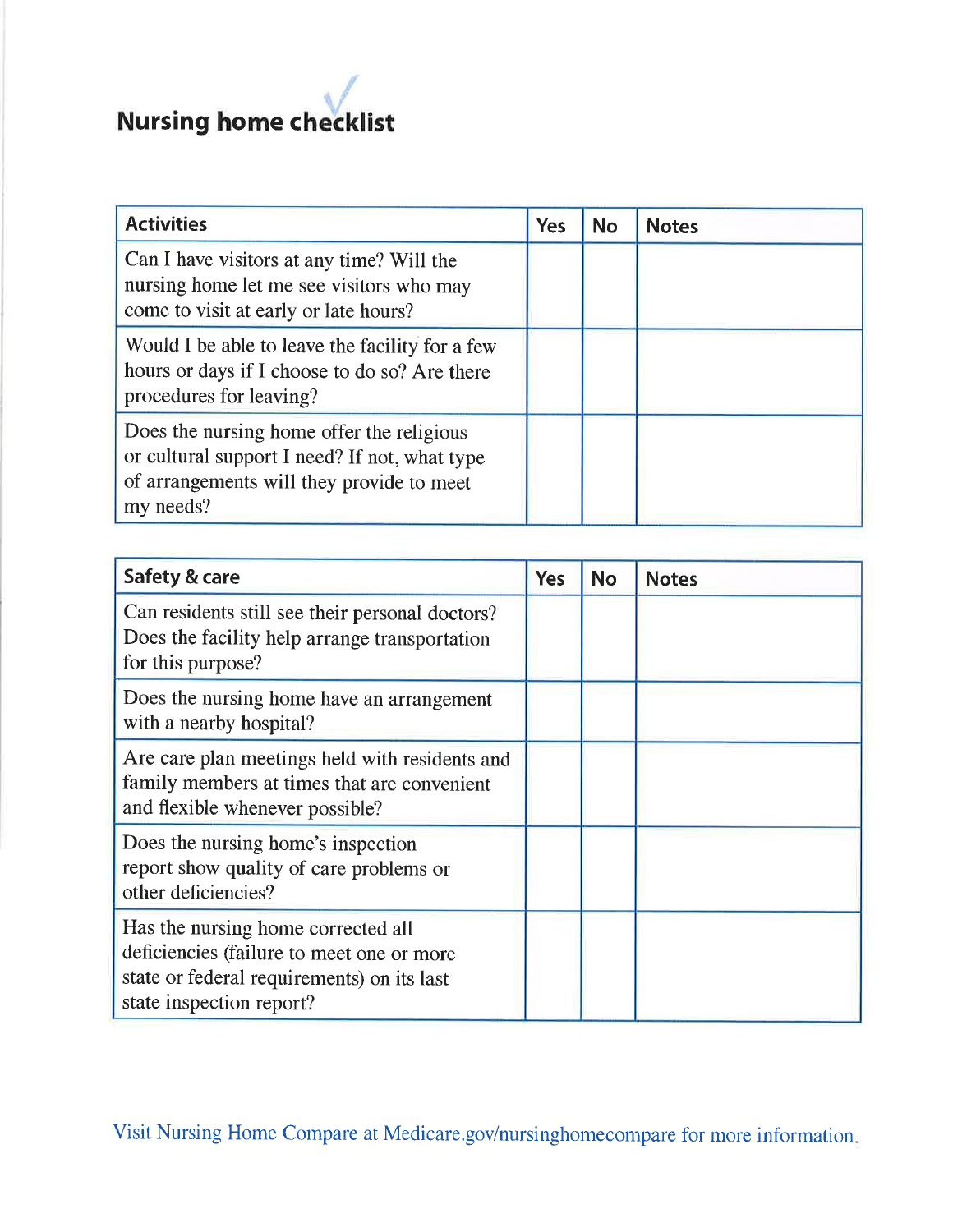#### Nursing home ch  $\cdot$  / ecklist

| <b>Activities</b>                                                                                                                                    | <b>Yes</b> | <b>No</b> | <b>Notes</b> |
|------------------------------------------------------------------------------------------------------------------------------------------------------|------------|-----------|--------------|
| Can I have visitors at any time? Will the<br>nursing home let me see visitors who may<br>come to visit at early or late hours?                       |            |           |              |
| Would I be able to leave the facility for a few<br>hours or days if I choose to do so? Are there<br>procedures for leaving?                          |            |           |              |
| Does the nursing home offer the religious<br>or cultural support I need? If not, what type<br>of arrangements will they provide to meet<br>my needs? |            |           |              |

| Safety & care                                                                                                                                             | <b>Yes</b> | <b>No</b> | <b>Notes</b> |
|-----------------------------------------------------------------------------------------------------------------------------------------------------------|------------|-----------|--------------|
| Can residents still see their personal doctors?<br>Does the facility help arrange transportation<br>for this purpose?                                     |            |           |              |
| Does the nursing home have an arrangement<br>with a nearby hospital?                                                                                      |            |           |              |
| Are care plan meetings held with residents and<br>family members at times that are convenient<br>and flexible whenever possible?                          |            |           |              |
| Does the nursing home's inspection<br>report show quality of care problems or<br>other deficiencies?                                                      |            |           |              |
| Has the nursing home corrected all<br>deficiencies (failure to meet one or more<br>state or federal requirements) on its last<br>state inspection report? |            |           |              |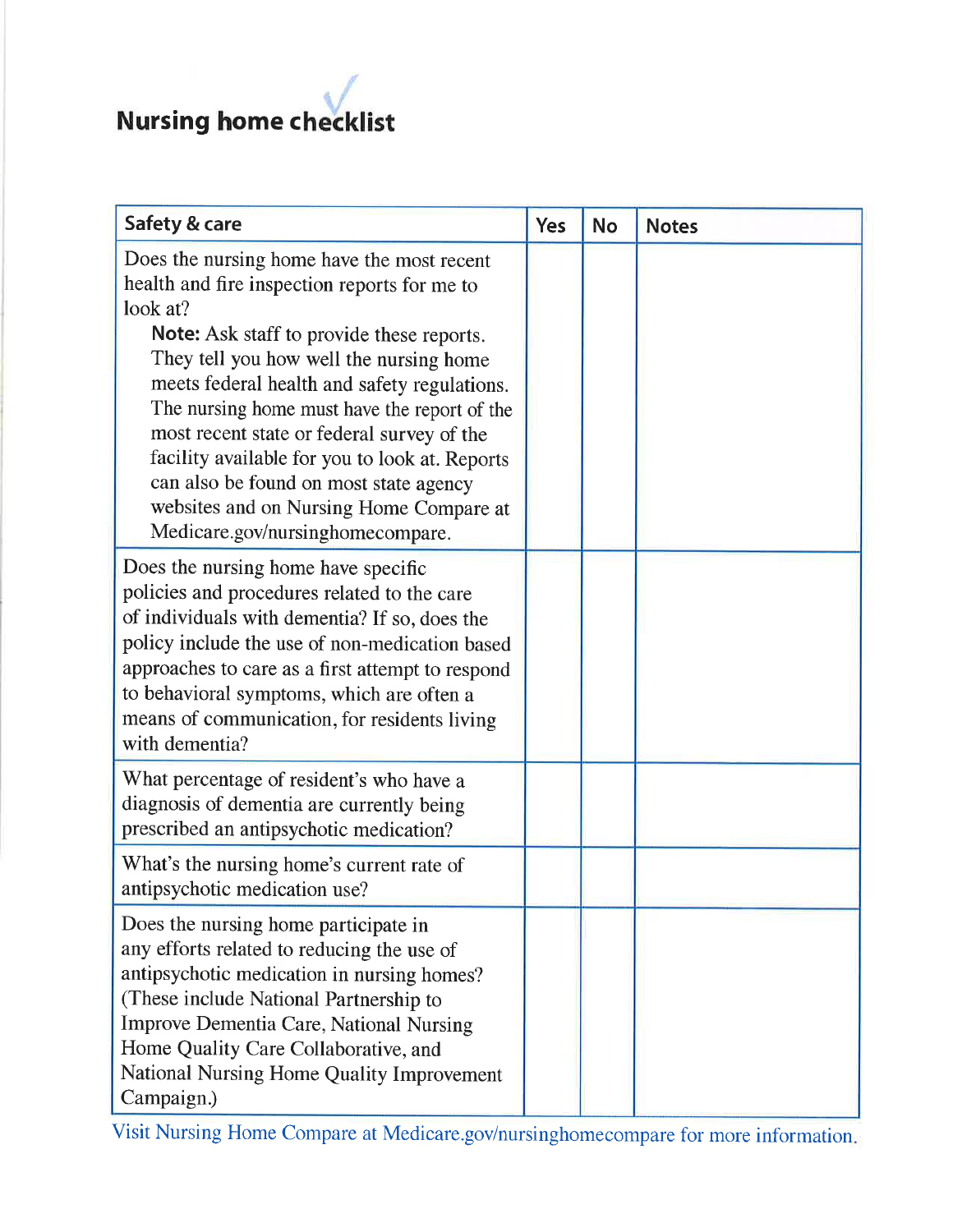| Safety & care                                                                                                                                                                                                                                                                                                                                                                                                                                                                                                                  | <b>Yes</b> | <b>No</b> | <b>Notes</b> |
|--------------------------------------------------------------------------------------------------------------------------------------------------------------------------------------------------------------------------------------------------------------------------------------------------------------------------------------------------------------------------------------------------------------------------------------------------------------------------------------------------------------------------------|------------|-----------|--------------|
| Does the nursing home have the most recent<br>health and fire inspection reports for me to<br>look at?<br><b>Note:</b> Ask staff to provide these reports.<br>They tell you how well the nursing home<br>meets federal health and safety regulations.<br>The nursing home must have the report of the<br>most recent state or federal survey of the<br>facility available for you to look at. Reports<br>can also be found on most state agency<br>websites and on Nursing Home Compare at<br>Medicare.gov/nursinghomecompare. |            |           |              |
| Does the nursing home have specific<br>policies and procedures related to the care<br>of individuals with dementia? If so, does the<br>policy include the use of non-medication based<br>approaches to care as a first attempt to respond<br>to behavioral symptoms, which are often a<br>means of communication, for residents living<br>with dementia?                                                                                                                                                                       |            |           |              |
| What percentage of resident's who have a<br>diagnosis of dementia are currently being<br>prescribed an antipsychotic medication?                                                                                                                                                                                                                                                                                                                                                                                               |            |           |              |
| What's the nursing home's current rate of<br>antipsychotic medication use?                                                                                                                                                                                                                                                                                                                                                                                                                                                     |            |           |              |
| Does the nursing home participate in<br>any efforts related to reducing the use of<br>antipsychotic medication in nursing homes?<br>(These include National Partnership to<br><b>Improve Dementia Care, National Nursing</b><br>Home Quality Care Collaborative, and<br>National Nursing Home Quality Improvement<br>Campaign.)                                                                                                                                                                                                |            |           |              |